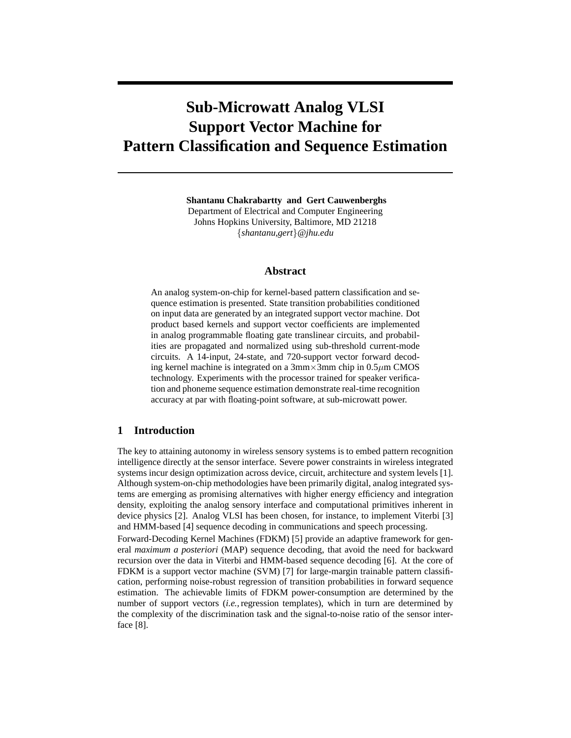# **Sub-Microwatt Analog VLSI Support Vector Machine for Pattern Classification and Sequence Estimation**

**Shantanu Chakrabartty and Gert Cauwenberghs**

Department of Electrical and Computer Engineering Johns Hopkins University, Baltimore, MD 21218 {*shantanu,gert*}*@jhu.edu*

# **Abstract**

An analog system-on-chip for kernel-based pattern classification and sequence estimation is presented. State transition probabilities conditioned on input data are generated by an integrated support vector machine. Dot product based kernels and support vector coefficients are implemented in analog programmable floating gate translinear circuits, and probabilities are propagated and normalized using sub-threshold current-mode circuits. A 14-input, 24-state, and 720-support vector forward decoding kernel machine is integrated on a  $3 \text{mm} \times 3 \text{mm}$  chip in  $0.5 \mu \text{m}$  CMOS technology. Experiments with the processor trained for speaker verification and phoneme sequence estimation demonstrate real-time recognition accuracy at par with floating-point software, at sub-microwatt power.

# **1 Introduction**

The key to attaining autonomy in wireless sensory systems is to embed pattern recognition intelligence directly at the sensor interface. Severe power constraints in wireless integrated systems incur design optimization across device, circuit, architecture and system levels [1]. Although system-on-chip methodologies have been primarily digital, analog integrated systems are emerging as promising alternatives with higher energy efficiency and integration density, exploiting the analog sensory interface and computational primitives inherent in device physics [2]. Analog VLSI has been chosen, for instance, to implement Viterbi [3] and HMM-based [4] sequence decoding in communications and speech processing.

Forward-Decoding Kernel Machines (FDKM) [5] provide an adaptive framework for general *maximum a posteriori* (MAP) sequence decoding, that avoid the need for backward recursion over the data in Viterbi and HMM-based sequence decoding [6]. At the core of FDKM is a support vector machine (SVM) [7] for large-margin trainable pattern classification, performing noise-robust regression of transition probabilities in forward sequence estimation. The achievable limits of FDKM power-consumption are determined by the number of support vectors (*i.e.,*regression templates), which in turn are determined by the complexity of the discrimination task and the signal-to-noise ratio of the sensor interface [8].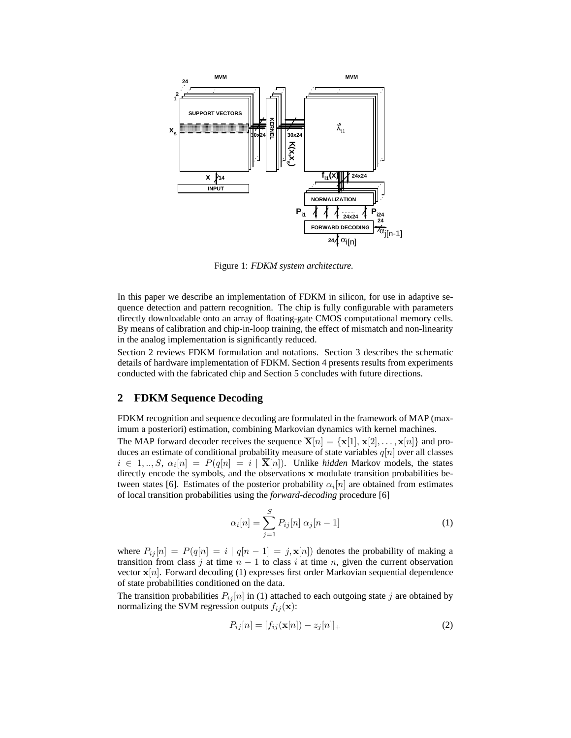

Figure 1: *FDKM system architecture.*

In this paper we describe an implementation of FDKM in silicon, for use in adaptive sequence detection and pattern recognition. The chip is fully configurable with parameters directly downloadable onto an array of floating-gate CMOS computational memory cells. By means of calibration and chip-in-loop training, the effect of mismatch and non-linearity in the analog implementation is significantly reduced.

Section 2 reviews FDKM formulation and notations. Section 3 describes the schematic details of hardware implementation of FDKM. Section 4 presents results from experiments conducted with the fabricated chip and Section 5 concludes with future directions.

## **2 FDKM Sequence Decoding**

FDKM recognition and sequence decoding are formulated in the framework of MAP (maximum a posteriori) estimation, combining Markovian dynamics with kernel machines.

The MAP forward decoder receives the sequence  $\overline{\mathbf{X}}[n] = {\mathbf{x}}[1], {\mathbf{x}}[2], \ldots, {\mathbf{x}}[n]$  and produces an estimate of conditional probability measure of state variables  $q[n]$  over all classes  $i \in 1, ..., S$ ,  $\alpha_i[n] = P(q[n] = i | \overline{\mathbf{X}}[n])$ . Unlike *hidden* Markov models, the states directly encode the symbols, and the observations **x** modulate transition probabilities between states [6]. Estimates of the posterior probability  $\alpha_i[n]$  are obtained from estimates of local transition probabilities using the *forward-decoding* procedure [6]

$$
\alpha_i[n] = \sum_{j=1}^{S} P_{ij}[n] \alpha_j[n-1]
$$
 (1)

where  $P_{ij}[n] = P(q[n] = i | q[n-1] = j, \mathbf{x}[n])$  denotes the probability of making a transition from class j at time  $n - 1$  to class i at time n, given the current observation vector  $\mathbf{x}[n]$ . Forward decoding (1) expresses first order Markovian sequential dependence of state probabilities conditioned on the data.

The transition probabilities  $P_{ij}[n]$  in (1) attached to each outgoing state j are obtained by normalizing the SVM regression outputs  $f_{ij}(\mathbf{x})$ :

$$
P_{ij}[n] = [f_{ij}(\mathbf{x}[n]) - z_j[n]]_+\tag{2}
$$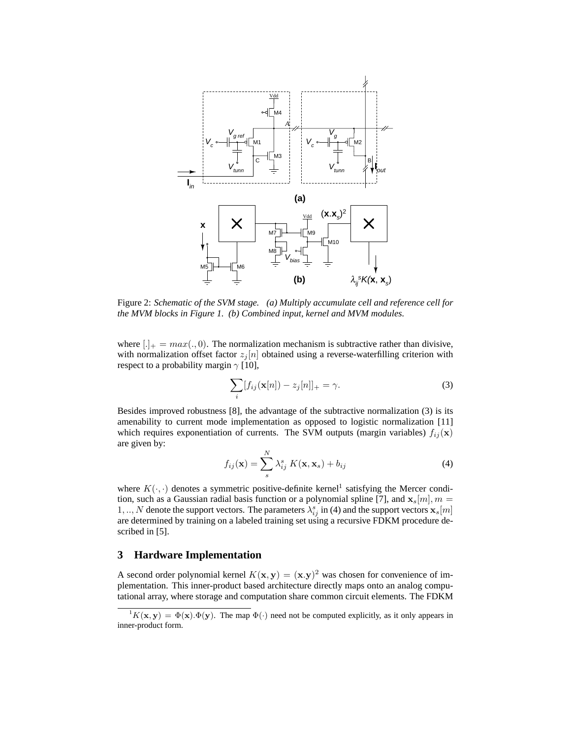

Figure 2: *Schematic of the SVM stage. (a) Multiply accumulate cell and reference cell for the MVM blocks in Figure 1. (b) Combined input, kernel and MVM modules.*

where  $[.]_{+} = max(., 0)$ . The normalization mechanism is subtractive rather than divisive, with normalization offset factor  $z_i[n]$  obtained using a reverse-waterfilling criterion with respect to a probability margin  $\gamma$  [10],

$$
\sum_{i} [f_{ij}(\mathbf{x}[n]) - z_j[n]]_{+} = \gamma.
$$
 (3)

Besides improved robustness [8], the advantage of the subtractive normalization (3) is its amenability to current mode implementation as opposed to logistic normalization [11] which requires exponentiation of currents. The SVM outputs (margin variables)  $f_{ij}(\mathbf{x})$ are given by:

$$
f_{ij}(\mathbf{x}) = \sum_{s}^{N} \lambda_{ij}^{s} K(\mathbf{x}, \mathbf{x}_{s}) + b_{ij}
$$
\n(4)

where  $K(\cdot, \cdot)$  denotes a symmetric positive-definite kernel<sup>1</sup> satisfying the Mercer condition, such as a Gaussian radial basis function or a polynomial spline [7], and  $\mathbf{x}_s[m], m =$ tion, such as a Gaussian radial basis function or a polynomial spline [7], and  $\mathbf{x}_s[m], m =$ <br>1 N denote the support vectors. The parameters  $\lambda^s$ , in (4) and the support vectors **x**. [m] 1, .., N denote the support vectors. The parameters  $\lambda_{ij}^s$  in (4) and the support vectors  $\mathbf{x}_s[m]$  are determined by training on a labeled training set using a recursive FDKM procedure described in [5].

# **3 Hardware Implementation**

A second order polynomial kernel  $K(\mathbf{x}, \mathbf{y}) = (\mathbf{x}, \mathbf{y})^2$  was chosen for convenience of implementation. This inner-product based architecture directly maps onto an analog computational array, where storage and computation share common circuit elements. The FDKM

 ${}^{1}K(\mathbf{x}, \mathbf{y}) = \Phi(\mathbf{x}).\Phi(\mathbf{y})$ . The map  $\Phi(\cdot)$  need not be computed explicitly, as it only appears in inner-product form.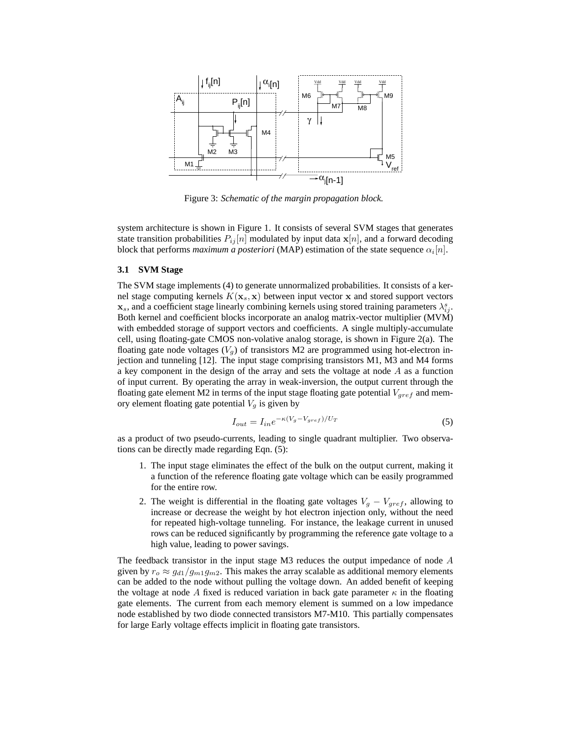

Figure 3: *Schematic of the margin propagation block.*

system architecture is shown in Figure 1. It consists of several SVM stages that generates state transition probabilities  $P_{ij}[n]$  modulated by input data  $\mathbf{x}[n]$ , and a forward decoding block that performs *maximum a posteriori* (MAP) estimation of the state sequence  $\alpha_i[n]$ .

#### **3.1 SVM Stage**

The SVM stage implements (4) to generate unnormalized probabilities. It consists of a kernel stage computing kernels  $K(\mathbf{x}_s, \mathbf{x})$  between input vector **x** and stored support vectors  $\mathbf{x}_s$ , and a coefficient stage linearly combining kernels using stored training parameters  $\lambda_{ij}^s$ .<br>Both kernel and coefficient blocks incorporate an analog matrix-vector multiplier (MVM) Both kernel and coefficient blocks incorporate an analog matrix-vector multiplier (MVM) with embedded storage of support vectors and coefficients. A single multiply-accumulate cell, using floating-gate CMOS non-volative analog storage, is shown in Figure 2(a). The floating gate node voltages  $(V_q)$  of transistors M2 are programmed using hot-electron injection and tunneling [12]. The input stage comprising transistors M1, M3 and M4 forms a key component in the design of the array and sets the voltage at node  $A$  as a function of input current. By operating the array in weak-inversion, the output current through the floating gate element M2 in terms of the input stage floating gate potential  $V_{gref}$  and memory element floating gate potential  $V_g$  is given by

$$
I_{out} = I_{in}e^{-\kappa(V_g - V_{gref})/U_T}
$$
\n<sup>(5)</sup>

as a product of two pseudo-currents, leading to single quadrant multiplier. Two observations can be directly made regarding Eqn. (5):

- 1. The input stage eliminates the effect of the bulk on the output current, making it a function of the reference floating gate voltage which can be easily programmed for the entire row.
- 2. The weight is differential in the floating gate voltages  $V_g V_{gref}$ , allowing to increase or decrease the weight by hot electron injection only, without the need for repeated high-voltage tunneling. For instance, the leakage current in unused rows can be reduced significantly by programming the reference gate voltage to a high value, leading to power savings.

The feedback transistor in the input stage M3 reduces the output impedance of node A given by  $r_o \approx g_{d1}/g_{m1}g_{m2}$ . This makes the array scalable as additional memory elements can be added to the node without pulling the voltage down. An added benefit of keeping the voltage at node A fixed is reduced variation in back gate parameter  $\kappa$  in the floating gate elements. The current from each memory element is summed on a low impedance node established by two diode connected transistors M7-M10. This partially compensates for large Early voltage effects implicit in floating gate transistors.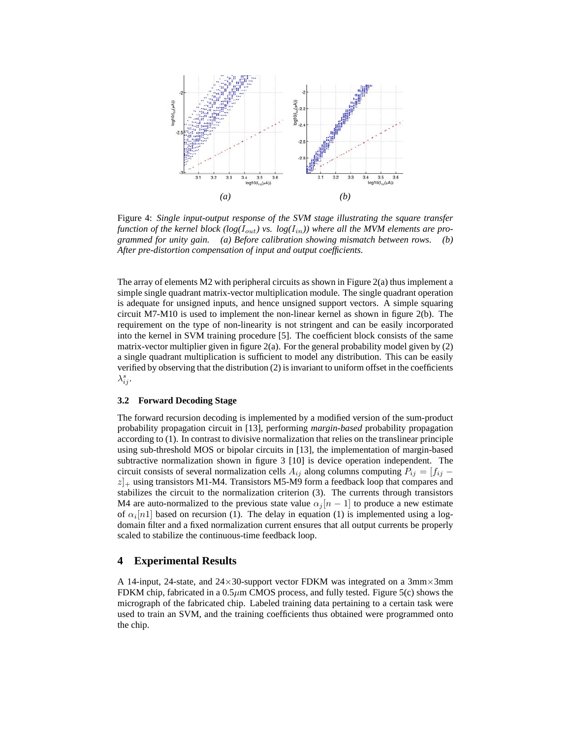

Figure 4: *Single input-output response of the SVM stage illustrating the square transfer* function of the kernel block ( $log(I_{out})$  vs.  $log(I_{in})$ ) where all the MVM elements are pro*grammed for unity gain. (a) Before calibration showing mismatch between rows. (b) After pre-distortion compensation of input and output coefficients.*

The array of elements M2 with peripheral circuits as shown in Figure 2(a) thus implement a simple single quadrant matrix-vector multiplication module. The single quadrant operation is adequate for unsigned inputs, and hence unsigned support vectors. A simple squaring circuit M7-M10 is used to implement the non-linear kernel as shown in figure 2(b). The requirement on the type of non-linearity is not stringent and can be easily incorporated into the kernel in SVM training procedure [5]. The coefficient block consists of the same matrix-vector multiplier given in figure  $2(a)$ . For the general probability model given by  $(2)$ a single quadrant multiplication is sufficient to model any distribution. This can be easily verified by observing that the distribution (2) is invariant to uniform offset in the coefficients  $\lambda_{ij}^s$ .

#### **3.2 Forward Decoding Stage**

The forward recursion decoding is implemented by a modified version of the sum-product probability propagation circuit in [13], performing *margin-based* probability propagation according to (1). In contrast to divisive normalization that relies on the translinear principle using sub-threshold MOS or bipolar circuits in [13], the implementation of margin-based subtractive normalization shown in figure 3 [10] is device operation independent. The circuit consists of several normalization cells  $A_{ij}$  along columns computing  $P_{ij} = [f_{ij}$  $z|_{+}$  using transistors M1-M4. Transistors M5-M9 form a feedback loop that compares and stabilizes the circuit to the normalization criterion (3). The currents through transistors M4 are auto-normalized to the previous state value  $\alpha_i |n-1|$  to produce a new estimate of  $\alpha_i[n]$  based on recursion (1). The delay in equation (1) is implemented using a logdomain filter and a fixed normalization current ensures that all output currents be properly scaled to stabilize the continuous-time feedback loop.

## **4 Experimental Results**

A 14-input, 24-state, and  $24 \times 30$ -support vector FDKM was integrated on a 3mm $\times$ 3mm FDKM chip, fabricated in a  $0.5\mu$ m CMOS process, and fully tested. Figure 5(c) shows the micrograph of the fabricated chip. Labeled training data pertaining to a certain task were used to train an SVM, and the training coefficients thus obtained were programmed onto the chip.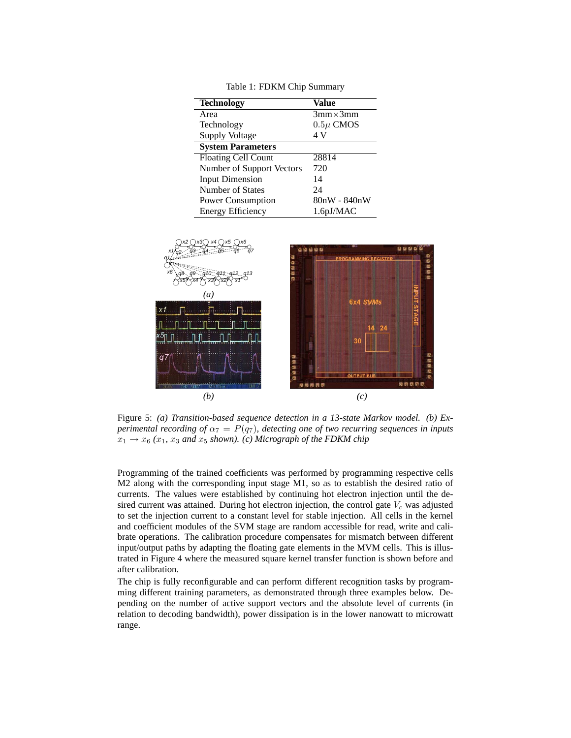| <b>Technology</b>         | Value            |
|---------------------------|------------------|
| Area                      | $3mm \times 3mm$ |
| Technology                | $0.5\mu$ CMOS    |
| Supply Voltage            | 4 V              |
| <b>System Parameters</b>  |                  |
| Floating Cell Count       | 28814            |
| Number of Support Vectors | 720              |
| <b>Input Dimension</b>    | 14               |
| Number of States          | 24               |
| Power Consumption         | 80nW - 840nW     |
| <b>Energy Efficiency</b>  | $1.6$ pJ/MAC     |



Figure 5: *(a) Transition-based sequence detection in a 13-state Markov model. (b) Experimental recording of*  $\alpha_7 = P(q_7)$ *, detecting one of two recurring sequences in inputs*  $x_1 \rightarrow x_6$  ( $x_1, x_3$  *and*  $x_5$  *shown).* (*c*) Micrograph of the FDKM chip

Programming of the trained coefficients was performed by programming respective cells M2 along with the corresponding input stage M1, so as to establish the desired ratio of currents. The values were established by continuing hot electron injection until the desired current was attained. During hot electron injection, the control gate  $V_c$  was adjusted to set the injection current to a constant level for stable injection. All cells in the kernel and coefficient modules of the SVM stage are random accessible for read, write and calibrate operations. The calibration procedure compensates for mismatch between different input/output paths by adapting the floating gate elements in the MVM cells. This is illustrated in Figure 4 where the measured square kernel transfer function is shown before and after calibration.

The chip is fully reconfigurable and can perform different recognition tasks by programming different training parameters, as demonstrated through three examples below. Depending on the number of active support vectors and the absolute level of currents (in relation to decoding bandwidth), power dissipation is in the lower nanowatt to microwatt range.

Table 1: FDKM Chip Summary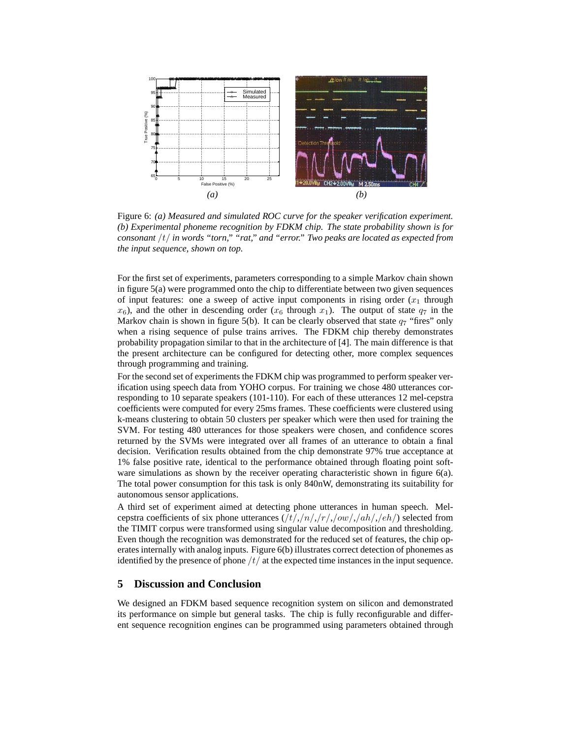

Figure 6: *(a) Measured and simulated ROC curve for the speaker verification experiment. (b) Experimental phoneme recognition by FDKM chip. The state probability shown is for consonant* /t/ *in words "torn," "rat," and "error." Two peaks are located as expected from the input sequence, shown on top.*

For the first set of experiments, parameters corresponding to a simple Markov chain shown in figure 5(a) were programmed onto the chip to differentiate between two given sequences of input features: one a sweep of active input components in rising order  $(x_1)$  through  $x_6$ ), and the other in descending order ( $x_6$  through  $x_1$ ). The output of state  $q_7$  in the Markov chain is shown in figure 5(b). It can be clearly observed that state  $q_7$  "fires" only when a rising sequence of pulse trains arrives. The FDKM chip thereby demonstrates probability propagation similar to that in the architecture of [4]. The main difference is that the present architecture can be configured for detecting other, more complex sequences through programming and training.

For the second set of experiments the FDKM chip was programmed to perform speaker verification using speech data from YOHO corpus. For training we chose 480 utterances corresponding to 10 separate speakers (101-110). For each of these utterances 12 mel-cepstra coefficients were computed for every 25ms frames. These coefficients were clustered using k-means clustering to obtain 50 clusters per speaker which were then used for training the SVM. For testing 480 utterances for those speakers were chosen, and confidence scores returned by the SVMs were integrated over all frames of an utterance to obtain a final decision. Verification results obtained from the chip demonstrate 97% true acceptance at 1% false positive rate, identical to the performance obtained through floating point software simulations as shown by the receiver operating characteristic shown in figure 6(a). The total power consumption for this task is only 840nW, demonstrating its suitability for autonomous sensor applications.

A third set of experiment aimed at detecting phone utterances in human speech. Melcepstra coefficients of six phone utterances  $(\frac{t}{r}, \frac{n}{r}, \frac{n}{r}, \frac{n}{r}, \frac{n}{r}, \frac{n}{r})$  selected from the TIMIT corpus were transformed using singular value decomposition and thresholding. Even though the recognition was demonstrated for the reduced set of features, the chip operates internally with analog inputs. Figure 6(b) illustrates correct detection of phonemes as identified by the presence of phone  $/t/$  at the expected time instances in the input sequence.

## **5 Discussion and Conclusion**

We designed an FDKM based sequence recognition system on silicon and demonstrated its performance on simple but general tasks. The chip is fully reconfigurable and different sequence recognition engines can be programmed using parameters obtained through